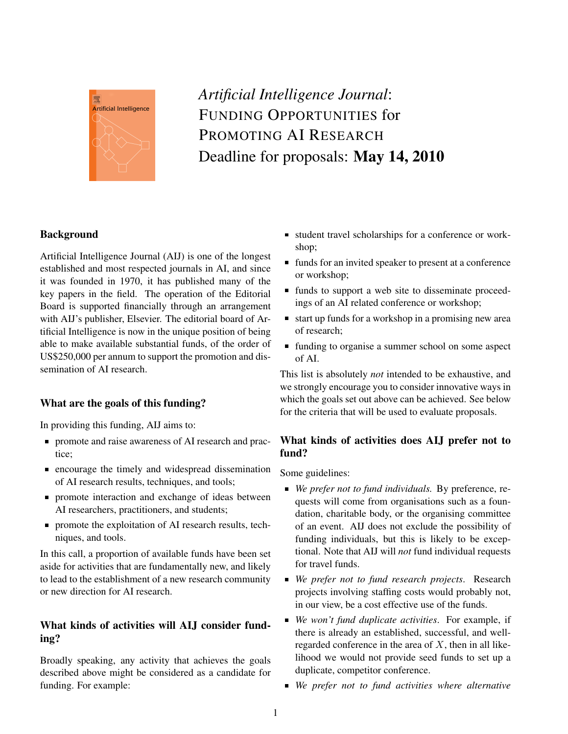

# *Artificial Intelligence Journal*: FUNDING OPPORTUNITIES for PROMOTING AI RESEARCH Deadline for proposals: May 14, 2010

# **Background**

Artificial Intelligence Journal (AIJ) is one of the longest established and most respected journals in AI, and since it was founded in 1970, it has published many of the key papers in the field. The operation of the Editorial Board is supported financially through an arrangement with AIJ's publisher, Elsevier. The editorial board of Artificial Intelligence is now in the unique position of being able to make available substantial funds, of the order of US\$250,000 per annum to support the promotion and dissemination of AI research.

## What are the goals of this funding?

In providing this funding, AIJ aims to:

- promote and raise awareness of AI research and practice;
- **Exercise 1** encourage the timely and widespread dissemination of AI research results, techniques, and tools;
- **promote interaction and exchange of ideas between** AI researchers, practitioners, and students;
- **Promote the exploitation of AI research results, tech**niques, and tools.

In this call, a proportion of available funds have been set aside for activities that are fundamentally new, and likely to lead to the establishment of a new research community or new direction for AI research.

# What kinds of activities will AIJ consider funding?

Broadly speaking, any activity that achieves the goals described above might be considered as a candidate for funding. For example:

- student travel scholarships for a conference or workshop;
- $\blacksquare$  funds for an invited speaker to present at a conference or workshop;
- funds to support a web site to disseminate proceedings of an AI related conference or workshop;
- $\blacksquare$  start up funds for a workshop in a promising new area of research;
- funding to organise a summer school on some aspect of AI.

This list is absolutely *not* intended to be exhaustive, and we strongly encourage you to consider innovative ways in which the goals set out above can be achieved. See below for the criteria that will be used to evaluate proposals.

## What kinds of activities does AIJ prefer not to fund?

Some guidelines:

- *We prefer not to fund individuals*. By preference, requests will come from organisations such as a foundation, charitable body, or the organising committee of an event. AIJ does not exclude the possibility of funding individuals, but this is likely to be exceptional. Note that AIJ will *not* fund individual requests for travel funds.
- *We prefer not to fund research projects*. Research projects involving staffing costs would probably not, in our view, be a cost effective use of the funds.
- *We won't fund duplicate activities*. For example, if there is already an established, successful, and wellregarded conference in the area of  $X$ , then in all likelihood we would not provide seed funds to set up a duplicate, competitor conference.
- *We prefer not to fund activities where alternative*